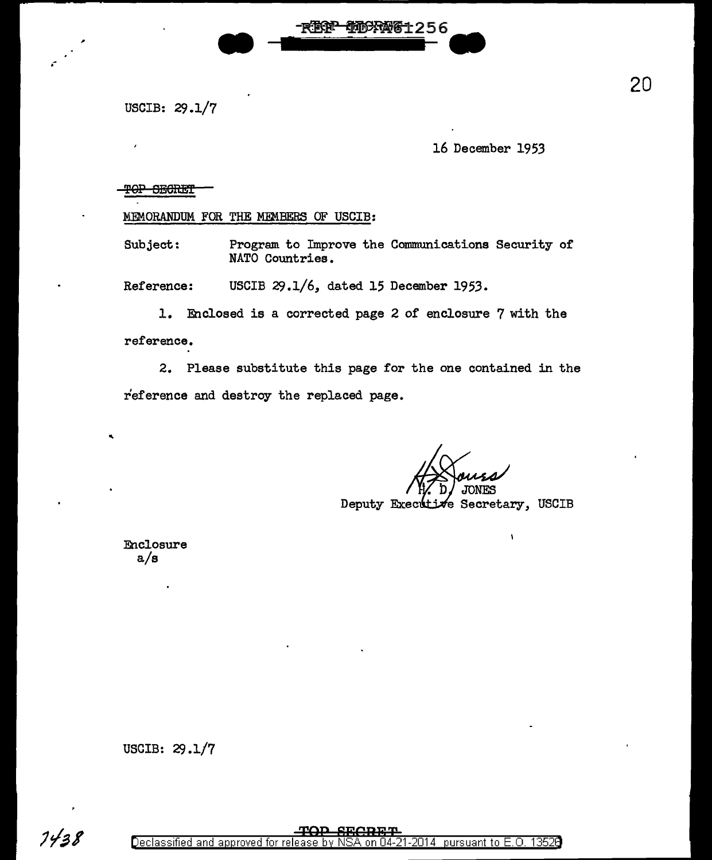USCIB: 29.1/7

.-

16 December 1953

TOP SECRET

MEMORANDUM FOR THE MEMBERS OF USCIB:

Subject: Program to Improve the Communications Security of NATO Countries.

Reference: USCIB 29.1/6, dated 15 December 1953.

**REGER** 

10080061256

1. Enclosed is a corrected page 2 of enclosure 7 with the

reference.

..

2. Please substitute this page for the one contained in the reference and destroy the replaced page.

Deputy Executive Secretary, USCIB

Y

Enclosure a/s

USCIB: 29.1/7